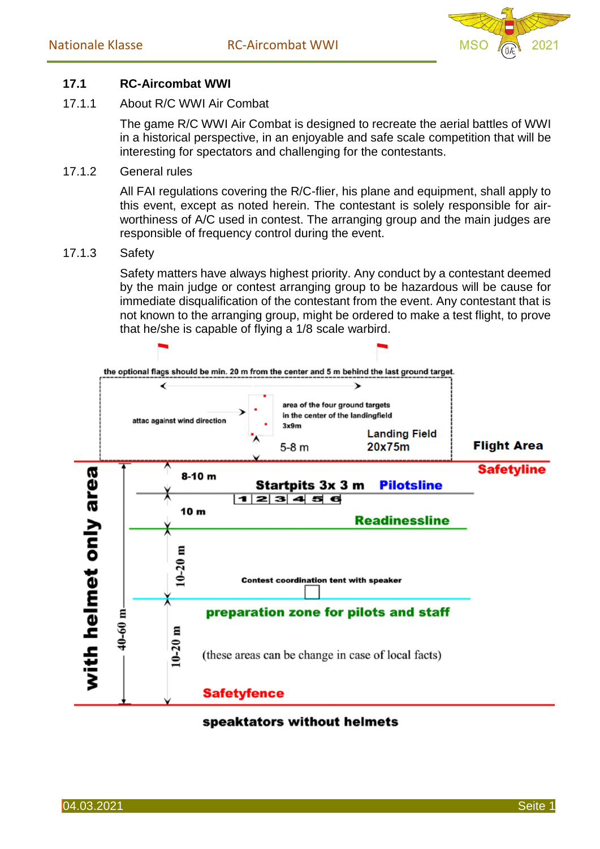

## **17.1 RC-Aircombat WWI**

## 17.1.1 About R/C WWI Air Combat

The game R/C WWI Air Combat is designed to recreate the aerial battles of WWI in a historical perspective, in an enjoyable and safe scale competition that will be interesting for spectators and challenging for the contestants.

17.1.2 General rules

All FAI regulations covering the R/C-flier, his plane and equipment, shall apply to this event, except as noted herein. The contestant is solely responsible for airworthiness of A/C used in contest. The arranging group and the main judges are responsible of frequency control during the event.

17.1.3 Safety

Safety matters have always highest priority. Any conduct by a contestant deemed by the main judge or contest arranging group to be hazardous will be cause for immediate disqualification of the contestant from the event. Any contestant that is not known to the arranging group, might be ordered to make a test flight, to prove that he/she is capable of flying a 1/8 scale warbird.



## speaktators without helmets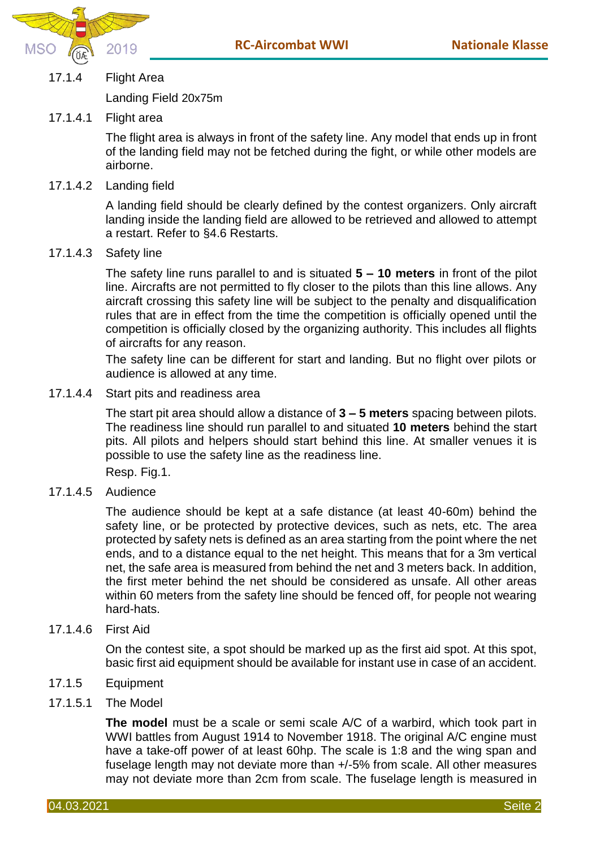

17.1.4 Flight Area

Landing Field 20x75m

## 17.1.4.1 Flight area

The flight area is always in front of the safety line. Any model that ends up in front of the landing field may not be fetched during the fight, or while other models are airborne.

17.1.4.2 Landing field

A landing field should be clearly defined by the contest organizers. Only aircraft landing inside the landing field are allowed to be retrieved and allowed to attempt a restart. Refer to §4.6 Restarts.

17.1.4.3 Safety line

The safety line runs parallel to and is situated **5 – 10 meters** in front of the pilot line. Aircrafts are not permitted to fly closer to the pilots than this line allows. Any aircraft crossing this safety line will be subject to the penalty and disqualification rules that are in effect from the time the competition is officially opened until the competition is officially closed by the organizing authority. This includes all flights of aircrafts for any reason.

The safety line can be different for start and landing. But no flight over pilots or audience is allowed at any time.

17.1.4.4 Start pits and readiness area

The start pit area should allow a distance of **3 – 5 meters** spacing between pilots. The readiness line should run parallel to and situated **10 meters** behind the start pits. All pilots and helpers should start behind this line. At smaller venues it is possible to use the safety line as the readiness line.

Resp. Fig.1.

17.1.4.5 Audience

The audience should be kept at a safe distance (at least 40-60m) behind the safety line, or be protected by protective devices, such as nets, etc. The area protected by safety nets is defined as an area starting from the point where the net ends, and to a distance equal to the net height. This means that for a 3m vertical net, the safe area is measured from behind the net and 3 meters back. In addition, the first meter behind the net should be considered as unsafe. All other areas within 60 meters from the safety line should be fenced off, for people not wearing hard-hats.

17.1.4.6 First Aid

On the contest site, a spot should be marked up as the first aid spot. At this spot, basic first aid equipment should be available for instant use in case of an accident.

- 17.1.5 Equipment
- 17.1.5.1 The Model

**The model** must be a scale or semi scale A/C of a warbird, which took part in WWI battles from August 1914 to November 1918. The original A/C engine must have a take-off power of at least 60hp. The scale is 1:8 and the wing span and fuselage length may not deviate more than +/-5% from scale. All other measures may not deviate more than 2cm from scale. The fuselage length is measured in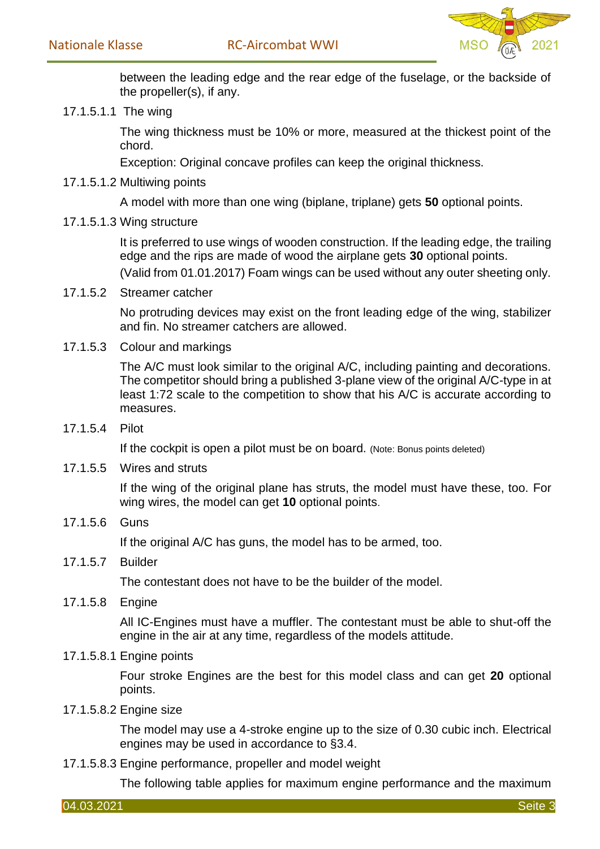

between the leading edge and the rear edge of the fuselage, or the backside of the propeller(s), if any.

17.1.5.1.1 The wing

The wing thickness must be 10% or more, measured at the thickest point of the chord.

Exception: Original concave profiles can keep the original thickness.

17.1.5.1.2 Multiwing points

A model with more than one wing (biplane, triplane) gets **50** optional points.

17.1.5.1.3 Wing structure

It is preferred to use wings of wooden construction. If the leading edge, the trailing edge and the rips are made of wood the airplane gets **30** optional points. (Valid from 01.01.2017) Foam wings can be used without any outer sheeting only.

17.1.5.2 Streamer catcher

No protruding devices may exist on the front leading edge of the wing, stabilizer and fin. No streamer catchers are allowed.

17.1.5.3 Colour and markings

The A/C must look similar to the original A/C, including painting and decorations. The competitor should bring a published 3-plane view of the original A/C-type in at least 1:72 scale to the competition to show that his A/C is accurate according to measures.

17.1.5.4 Pilot

If the cockpit is open a pilot must be on board. (Note: Bonus points deleted)

17.1.5.5 Wires and struts

If the wing of the original plane has struts, the model must have these, too. For wing wires, the model can get **10** optional points.

17.1.5.6 Guns

If the original A/C has guns, the model has to be armed, too.

17.1.5.7 Builder

The contestant does not have to be the builder of the model.

17.1.5.8 Engine

All IC-Engines must have a muffler. The contestant must be able to shut-off the engine in the air at any time, regardless of the models attitude.

17.1.5.8.1 Engine points

Four stroke Engines are the best for this model class and can get **20** optional points.

17.1.5.8.2 Engine size

The model may use a 4-stroke engine up to the size of 0.30 cubic inch. Electrical engines may be used in accordance to §3.4.

17.1.5.8.3 Engine performance, propeller and model weight

The following table applies for maximum engine performance and the maximum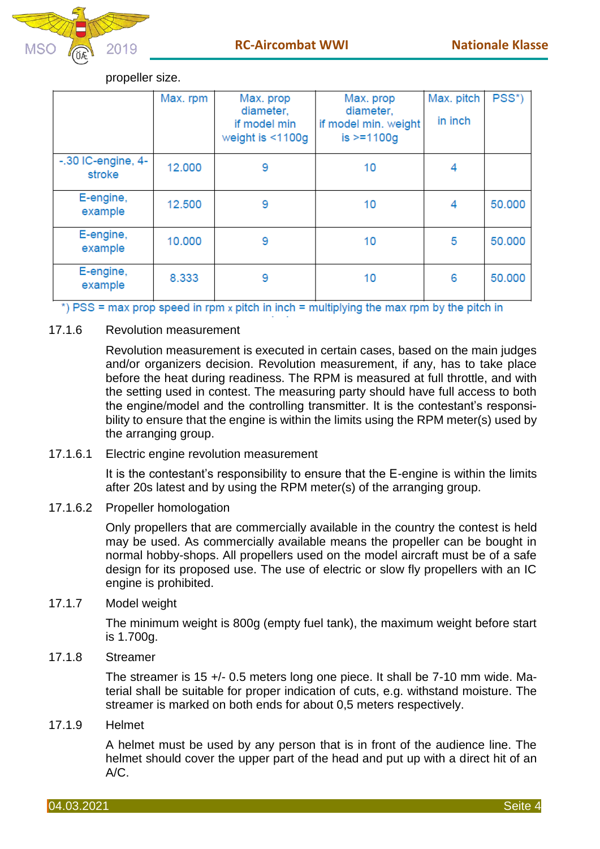

|                                 | Max. rpm | Max. prop<br>diameter,<br>if model min<br>weight is $<$ 1100g | Max. prop<br>diameter,<br>if model min. weight<br>$is >=1100q$ | Max. pitch<br>in inch | PSS*)  |
|---------------------------------|----------|---------------------------------------------------------------|----------------------------------------------------------------|-----------------------|--------|
| $-0.30$ IC-engine, 4-<br>stroke | 12.000   | 9                                                             | 10                                                             | 4                     |        |
| E-engine,<br>example            | 12.500   | 9                                                             | 10                                                             | 4                     | 50,000 |
| E-engine,<br>example            | 10.000   | 9                                                             | 10                                                             | 5                     | 50.000 |
| E-engine,<br>example            | 8.333    | 9                                                             | 10                                                             | 6                     | 50,000 |

propeller size.

\*) PSS = max prop speed in rpm x pitch in inch = multiplying the max rpm by the pitch in

17.1.6 Revolution measurement

Revolution measurement is executed in certain cases, based on the main judges and/or organizers decision. Revolution measurement, if any, has to take place before the heat during readiness. The RPM is measured at full throttle, and with the setting used in contest. The measuring party should have full access to both the engine/model and the controlling transmitter. It is the contestant's responsibility to ensure that the engine is within the limits using the RPM meter(s) used by the arranging group.

17.1.6.1 Electric engine revolution measurement

It is the contestant's responsibility to ensure that the E-engine is within the limits after 20s latest and by using the RPM meter(s) of the arranging group.

17.1.6.2 Propeller homologation

Only propellers that are commercially available in the country the contest is held may be used. As commercially available means the propeller can be bought in normal hobby-shops. All propellers used on the model aircraft must be of a safe design for its proposed use. The use of electric or slow fly propellers with an IC engine is prohibited.

17.1.7 Model weight

The minimum weight is 800g (empty fuel tank), the maximum weight before start is 1.700g.

17.1.8 Streamer

The streamer is 15 +/- 0.5 meters long one piece. It shall be 7-10 mm wide. Material shall be suitable for proper indication of cuts, e.g. withstand moisture. The streamer is marked on both ends for about 0,5 meters respectively.

17.1.9 Helmet

A helmet must be used by any person that is in front of the audience line. The helmet should cover the upper part of the head and put up with a direct hit of an A/C.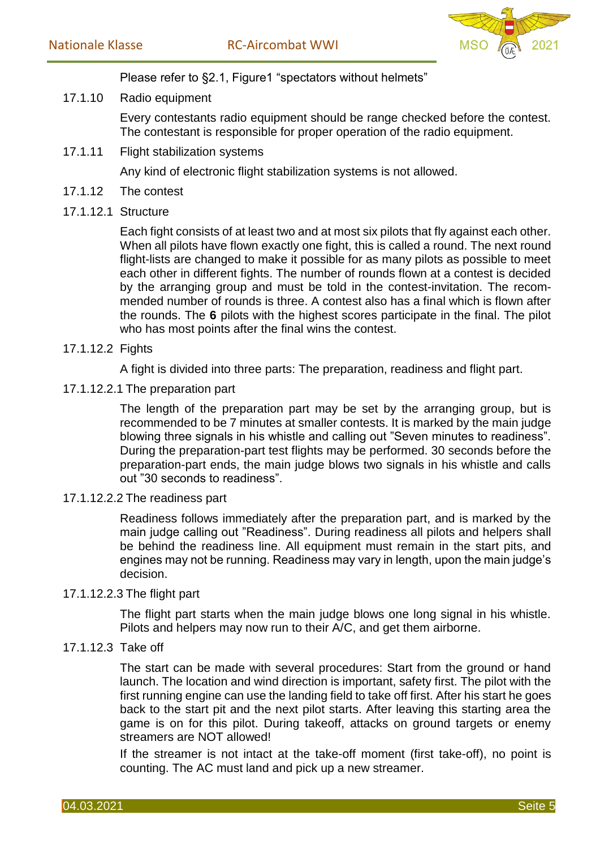

Please refer to §2.1, Figure1 "spectators without helmets"

17.1.10 Radio equipment

Every contestants radio equipment should be range checked before the contest. The contestant is responsible for proper operation of the radio equipment.

17.1.11 Flight stabilization systems

Any kind of electronic flight stabilization systems is not allowed.

- 17.1.12 The contest
- 17.1.12.1 Structure

Each fight consists of at least two and at most six pilots that fly against each other. When all pilots have flown exactly one fight, this is called a round. The next round flight-lists are changed to make it possible for as many pilots as possible to meet each other in different fights. The number of rounds flown at a contest is decided by the arranging group and must be told in the contest-invitation. The recommended number of rounds is three. A contest also has a final which is flown after the rounds. The **6** pilots with the highest scores participate in the final. The pilot who has most points after the final wins the contest.

## 17.1.12.2 Fights

A fight is divided into three parts: The preparation, readiness and flight part.

17.1.12.2.1 The preparation part

The length of the preparation part may be set by the arranging group, but is recommended to be 7 minutes at smaller contests. It is marked by the main judge blowing three signals in his whistle and calling out "Seven minutes to readiness". During the preparation-part test flights may be performed. 30 seconds before the preparation-part ends, the main judge blows two signals in his whistle and calls out "30 seconds to readiness".

17.1.12.2.2 The readiness part

Readiness follows immediately after the preparation part, and is marked by the main judge calling out "Readiness". During readiness all pilots and helpers shall be behind the readiness line. All equipment must remain in the start pits, and engines may not be running. Readiness may vary in length, upon the main judge's decision.

17.1.12.2.3 The flight part

The flight part starts when the main judge blows one long signal in his whistle. Pilots and helpers may now run to their A/C, and get them airborne.

## 17.1.12.3 Take off

The start can be made with several procedures: Start from the ground or hand launch. The location and wind direction is important, safety first. The pilot with the first running engine can use the landing field to take off first. After his start he goes back to the start pit and the next pilot starts. After leaving this starting area the game is on for this pilot. During takeoff, attacks on ground targets or enemy streamers are NOT allowed!

If the streamer is not intact at the take-off moment (first take-off), no point is counting. The AC must land and pick up a new streamer.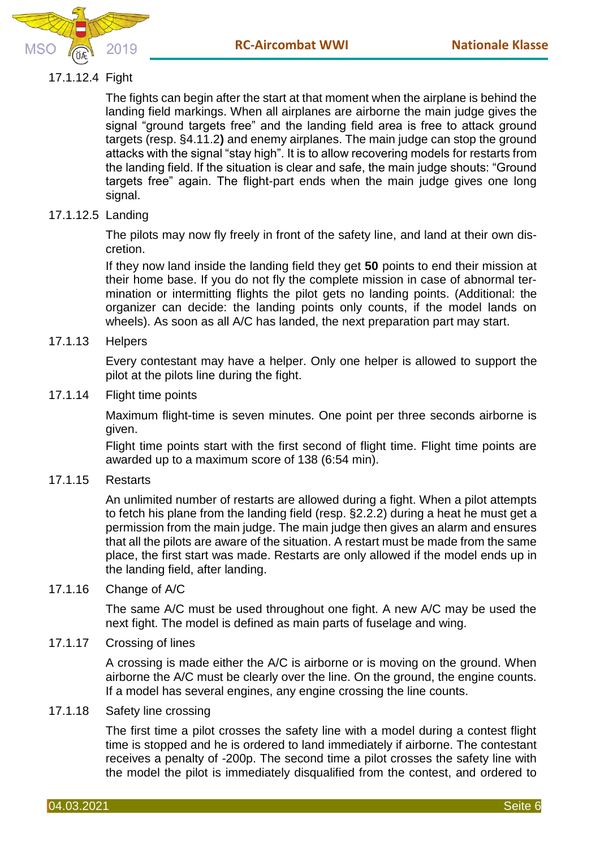



# 17.1.12.4 Fight

The fights can begin after the start at that moment when the airplane is behind the landing field markings. When all airplanes are airborne the main judge gives the signal "ground targets free" and the landing field area is free to attack ground targets (resp. §4.11.2**)** and enemy airplanes. The main judge can stop the ground attacks with the signal "stay high". It is to allow recovering models for restarts from the landing field. If the situation is clear and safe, the main judge shouts: "Ground targets free" again. The flight-part ends when the main judge gives one long signal.

# 17.1.12.5 Landing

The pilots may now fly freely in front of the safety line, and land at their own discretion.

If they now land inside the landing field they get **50** points to end their mission at their home base. If you do not fly the complete mission in case of abnormal termination or intermitting flights the pilot gets no landing points. (Additional: the organizer can decide: the landing points only counts, if the model lands on wheels). As soon as all A/C has landed, the next preparation part may start.

17.1.13 Helpers

Every contestant may have a helper. Only one helper is allowed to support the pilot at the pilots line during the fight.

17.1.14 Flight time points

Maximum flight-time is seven minutes. One point per three seconds airborne is given.

Flight time points start with the first second of flight time. Flight time points are awarded up to a maximum score of 138 (6:54 min).

17.1.15 Restarts

An unlimited number of restarts are allowed during a fight. When a pilot attempts to fetch his plane from the landing field (resp. §2.2.2) during a heat he must get a permission from the main judge. The main judge then gives an alarm and ensures that all the pilots are aware of the situation. A restart must be made from the same place, the first start was made. Restarts are only allowed if the model ends up in the landing field, after landing.

17.1.16 Change of A/C

The same A/C must be used throughout one fight. A new A/C may be used the next fight. The model is defined as main parts of fuselage and wing.

17.1.17 Crossing of lines

A crossing is made either the A/C is airborne or is moving on the ground. When airborne the A/C must be clearly over the line. On the ground, the engine counts. If a model has several engines, any engine crossing the line counts.

17.1.18 Safety line crossing

The first time a pilot crosses the safety line with a model during a contest flight time is stopped and he is ordered to land immediately if airborne. The contestant receives a penalty of -200p. The second time a pilot crosses the safety line with the model the pilot is immediately disqualified from the contest, and ordered to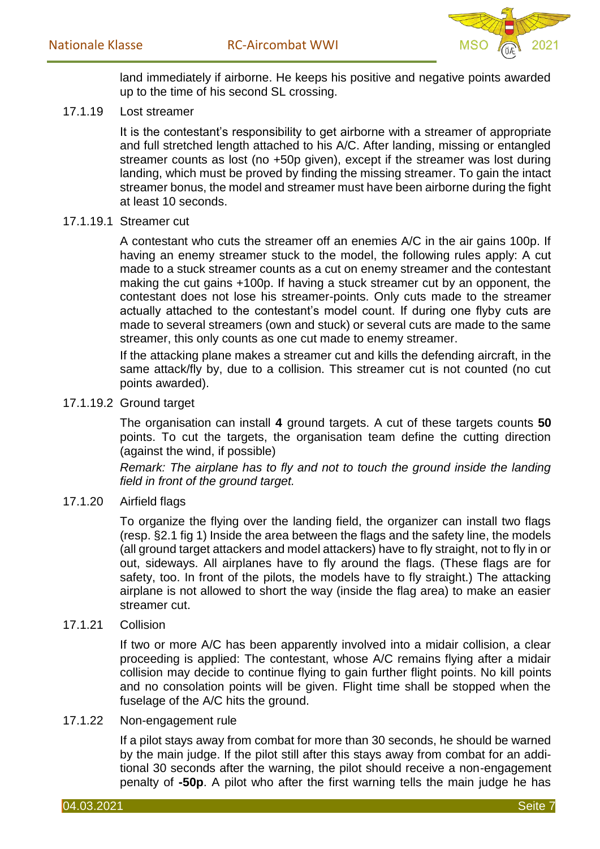

land immediately if airborne. He keeps his positive and negative points awarded up to the time of his second SL crossing.

17.1.19 Lost streamer

It is the contestant's responsibility to get airborne with a streamer of appropriate and full stretched length attached to his A/C. After landing, missing or entangled streamer counts as lost (no +50p given), except if the streamer was lost during landing, which must be proved by finding the missing streamer. To gain the intact streamer bonus, the model and streamer must have been airborne during the fight at least 10 seconds.

#### 17.1.19.1 Streamer cut

A contestant who cuts the streamer off an enemies A/C in the air gains 100p. If having an enemy streamer stuck to the model, the following rules apply: A cut made to a stuck streamer counts as a cut on enemy streamer and the contestant making the cut gains +100p. If having a stuck streamer cut by an opponent, the contestant does not lose his streamer-points. Only cuts made to the streamer actually attached to the contestant's model count. If during one flyby cuts are made to several streamers (own and stuck) or several cuts are made to the same streamer, this only counts as one cut made to enemy streamer.

If the attacking plane makes a streamer cut and kills the defending aircraft, in the same attack/fly by, due to a collision. This streamer cut is not counted (no cut points awarded).

## 17.1.19.2 Ground target

The organisation can install **4** ground targets. A cut of these targets counts **50**  points. To cut the targets, the organisation team define the cutting direction (against the wind, if possible)

*Remark: The airplane has to fly and not to touch the ground inside the landing field in front of the ground target.* 

17.1.20 Airfield flags

To organize the flying over the landing field, the organizer can install two flags (resp. §2.1 fig 1) Inside the area between the flags and the safety line, the models (all ground target attackers and model attackers) have to fly straight, not to fly in or out, sideways. All airplanes have to fly around the flags. (These flags are for safety, too. In front of the pilots, the models have to fly straight.) The attacking airplane is not allowed to short the way (inside the flag area) to make an easier streamer cut.

#### 17.1.21 Collision

If two or more A/C has been apparently involved into a midair collision, a clear proceeding is applied: The contestant, whose A/C remains flying after a midair collision may decide to continue flying to gain further flight points. No kill points and no consolation points will be given. Flight time shall be stopped when the fuselage of the A/C hits the ground.

#### 17.1.22 Non-engagement rule

If a pilot stays away from combat for more than 30 seconds, he should be warned by the main judge. If the pilot still after this stays away from combat for an additional 30 seconds after the warning, the pilot should receive a non-engagement penalty of **-50p**. A pilot who after the first warning tells the main judge he has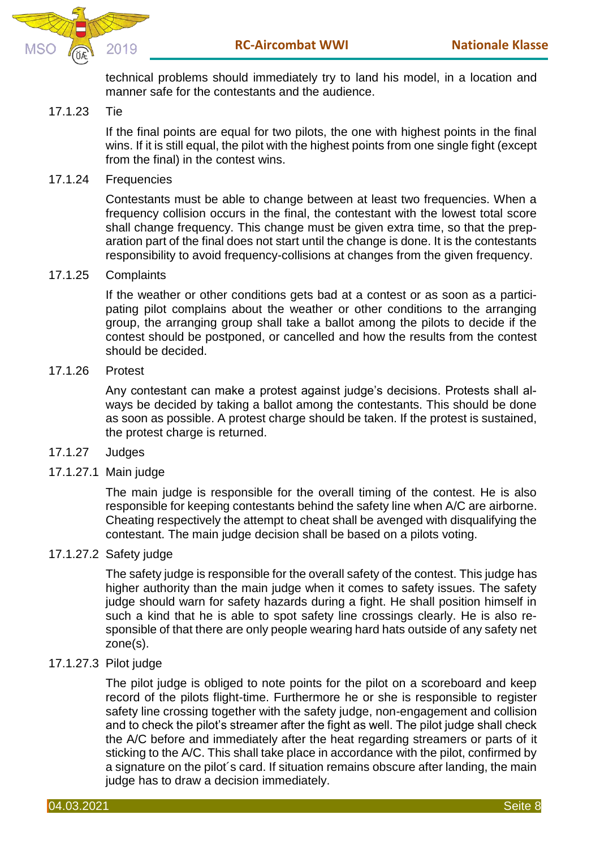

technical problems should immediately try to land his model, in a location and manner safe for the contestants and the audience.

## 17.1.23 Tie

If the final points are equal for two pilots, the one with highest points in the final wins. If it is still equal, the pilot with the highest points from one single fight (except from the final) in the contest wins.

## 17.1.24 Frequencies

Contestants must be able to change between at least two frequencies. When a frequency collision occurs in the final, the contestant with the lowest total score shall change frequency. This change must be given extra time, so that the preparation part of the final does not start until the change is done. It is the contestants responsibility to avoid frequency-collisions at changes from the given frequency.

#### 17.1.25 Complaints

If the weather or other conditions gets bad at a contest or as soon as a participating pilot complains about the weather or other conditions to the arranging group, the arranging group shall take a ballot among the pilots to decide if the contest should be postponed, or cancelled and how the results from the contest should be decided.

#### 17.1.26 Protest

Any contestant can make a protest against judge's decisions. Protests shall always be decided by taking a ballot among the contestants. This should be done as soon as possible. A protest charge should be taken. If the protest is sustained, the protest charge is returned.

#### 17.1.27 Judges

17.1.27.1 Main judge

The main judge is responsible for the overall timing of the contest. He is also responsible for keeping contestants behind the safety line when A/C are airborne. Cheating respectively the attempt to cheat shall be avenged with disqualifying the contestant. The main judge decision shall be based on a pilots voting.

#### 17.1.27.2 Safety judge

The safety judge is responsible for the overall safety of the contest. This judge has higher authority than the main judge when it comes to safety issues. The safety judge should warn for safety hazards during a fight. He shall position himself in such a kind that he is able to spot safety line crossings clearly. He is also responsible of that there are only people wearing hard hats outside of any safety net zone(s).

#### 17.1.27.3 Pilot judge

The pilot judge is obliged to note points for the pilot on a scoreboard and keep record of the pilots flight-time. Furthermore he or she is responsible to register safety line crossing together with the safety judge, non-engagement and collision and to check the pilot's streamer after the fight as well. The pilot judge shall check the A/C before and immediately after the heat regarding streamers or parts of it sticking to the A/C. This shall take place in accordance with the pilot, confirmed by a signature on the pilot´s card. If situation remains obscure after landing, the main judge has to draw a decision immediately.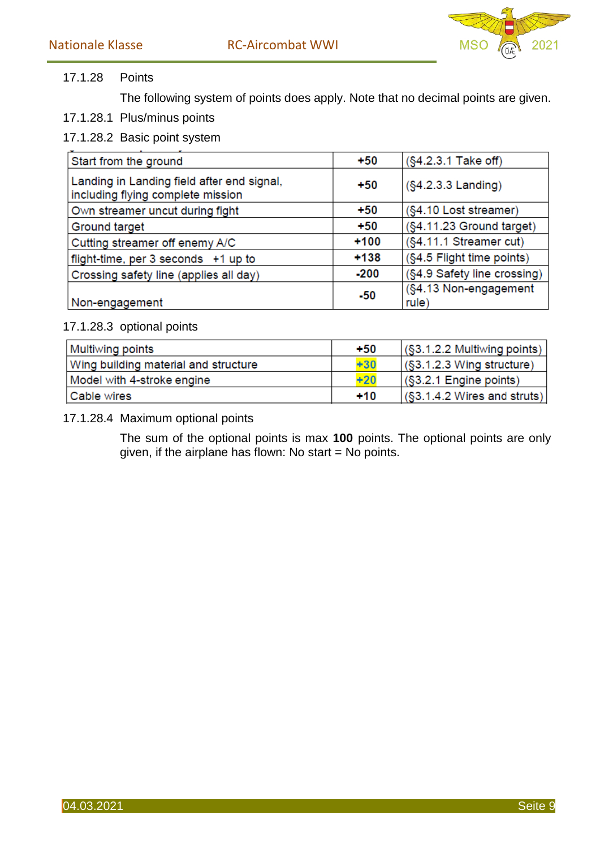

# 17.1.28 Points

The following system of points does apply. Note that no decimal points are given.

- 17.1.28.1 Plus/minus points
- 17.1.28.2 Basic point system

| Start from the ground                                                           | $+50$  | (§4.2.3.1 Take off)            |  |
|---------------------------------------------------------------------------------|--------|--------------------------------|--|
| Landing in Landing field after end signal,<br>including flying complete mission | $+50$  | $(S4.2.3.3$ Landing)           |  |
| Own streamer uncut during fight                                                 | $+50$  | (§4.10 Lost streamer)          |  |
| Ground target                                                                   | $+50$  | (§4.11.23 Ground target)       |  |
| Cutting streamer off enemy A/C                                                  | $+100$ | (§4.11.1 Streamer cut)         |  |
| flight-time, per 3 seconds +1 up to                                             | $+138$ | (§4.5 Flight time points)      |  |
| Crossing safety line (applies all day)                                          | $-200$ | (§4.9 Safety line crossing)    |  |
| Non-engagement                                                                  | $-50$  | (§4.13 Non-engagement<br>rule) |  |

# 17.1.28.3 optional points

| Multiwing points                     | $+50$ | $\sqrt{\$3.1.2.2}$ Multiwing points)                                             |
|--------------------------------------|-------|----------------------------------------------------------------------------------|
| Wing building material and structure | $+30$ | $(S3.1.2.3$ Wing structure)                                                      |
| Model with 4-stroke engine           | $+20$ | $\sqrt{\$3.2.1}$ Engine points)                                                  |
| Cable wires                          | $+10$ | $\left  \right\rangle \left( \S3.1.4.2 \text{ Wires and struts} \right) \right $ |

## 17.1.28.4 Maximum optional points

The sum of the optional points is max **100** points. The optional points are only given, if the airplane has flown: No start = No points.